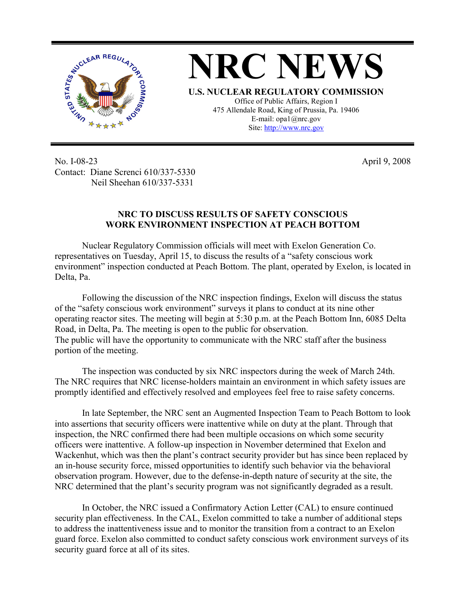

**NRC NEWS U.S. NUCLEAR REGULATORY COMMISSION** Office of Public Affairs, Region I 475 Allendale Road, King of Prussia, Pa. 19406 E-mail: opa1@nrc.gov Site: http://www.nrc.gov

No. I-08-23 Contact: Diane Screnci 610/337-5330 Neil Sheehan 610/337-5331

April 9, 2008

## **NRC TO DISCUSS RESULTS OF SAFETY CONSCIOUS WORK ENVIRONMENT INSPECTION AT PEACH BOTTOM**

 Nuclear Regulatory Commission officials will meet with Exelon Generation Co. representatives on Tuesday, April 15, to discuss the results of a "safety conscious work environment" inspection conducted at Peach Bottom. The plant, operated by Exelon, is located in Delta, Pa.

 Following the discussion of the NRC inspection findings, Exelon will discuss the status of the "safety conscious work environment" surveys it plans to conduct at its nine other operating reactor sites. The meeting will begin at 5:30 p.m. at the Peach Bottom Inn, 6085 Delta Road, in Delta, Pa. The meeting is open to the public for observation. The public will have the opportunity to communicate with the NRC staff after the business portion of the meeting.

 The inspection was conducted by six NRC inspectors during the week of March 24th. The NRC requires that NRC license-holders maintain an environment in which safety issues are promptly identified and effectively resolved and employees feel free to raise safety concerns.

 In late September, the NRC sent an Augmented Inspection Team to Peach Bottom to look into assertions that security officers were inattentive while on duty at the plant. Through that inspection, the NRC confirmed there had been multiple occasions on which some security officers were inattentive. A follow-up inspection in November determined that Exelon and Wackenhut, which was then the plant's contract security provider but has since been replaced by an in-house security force, missed opportunities to identify such behavior via the behavioral observation program. However, due to the defense-in-depth nature of security at the site, the NRC determined that the plant's security program was not significantly degraded as a result.

 In October, the NRC issued a Confirmatory Action Letter (CAL) to ensure continued security plan effectiveness. In the CAL, Exelon committed to take a number of additional steps to address the inattentiveness issue and to monitor the transition from a contract to an Exelon guard force. Exelon also committed to conduct safety conscious work environment surveys of its security guard force at all of its sites.